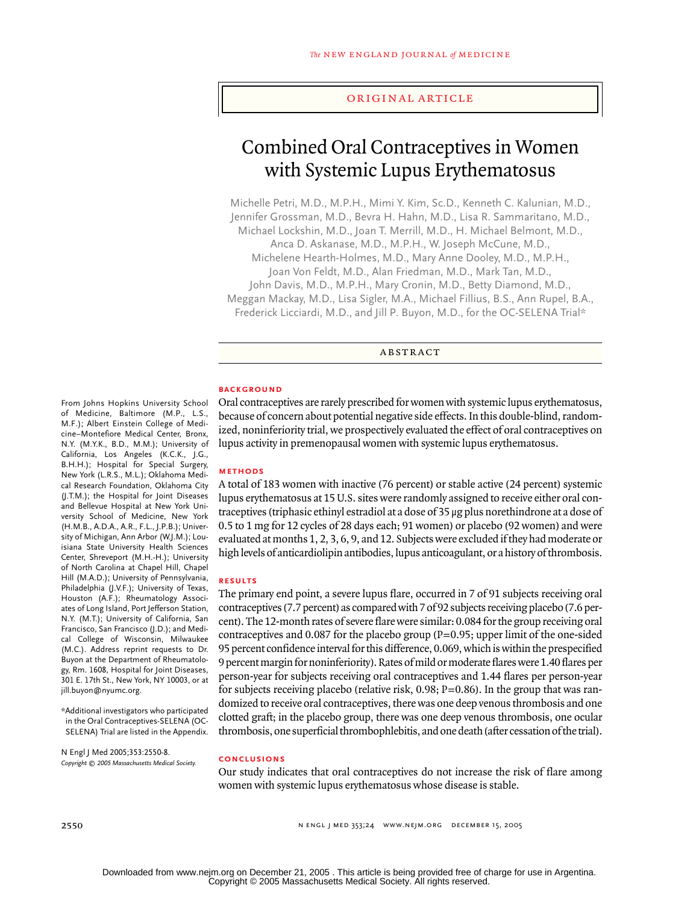### original article

# Combined Oral Contraceptives in Women with Systemic Lupus Erythematosus

Michelle Petri, M.D., M.P.H., Mimi Y. Kim, Sc.D., Kenneth C. Kalunian, M.D., Jennifer Grossman, M.D., Bevra H. Hahn, M.D., Lisa R. Sammaritano, M.D., Michael Lockshin, M.D., Joan T. Merrill, M.D., H. Michael Belmont, M.D., Anca D. Askanase, M.D., M.P.H., W. Joseph McCune, M.D., Michelene Hearth-Holmes, M.D., Mary Anne Dooley, M.D., M.P.H., Joan Von Feldt, M.D., Alan Friedman, M.D., Mark Tan, M.D., John Davis, M.D., M.P.H., Mary Cronin, M.D., Betty Diamond, M.D., Meggan Mackay, M.D., Lisa Sigler, M.A., Michael Fillius, B.S., Ann Rupel, B.A., Frederick Licciardi, M.D., and Jill P. Buyon, M.D., for the OC-SELENA Trial\*

#### **ABSTRACT**

# **background**

Oral contraceptives are rarely prescribed for women with systemic lupus erythematosus, because of concern about potential negative side effects. In this double-blind, randomized, noninferiority trial, we prospectively evaluated the effect of oral contraceptives on lupus activity in premenopausal women with systemic lupus erythematosus.

### **methods**

A total of 183 women with inactive (76 percent) or stable active (24 percent) systemic lupus erythematosus at 15 U.S. sites were randomly assigned to receive either oral contraceptives (triphasic ethinyl estradiol at a dose of 35 µg plus norethindrone at a dose of 0.5 to 1 mg for 12 cycles of 28 days each; 91 women) or placebo (92 women) and were evaluated at months 1, 2, 3, 6, 9, and 12. Subjects were excluded if they had moderate or high levels of anticardiolipin antibodies, lupus anticoagulant, or a history of thrombosis.

#### **results**

The primary end point, a severe lupus flare, occurred in 7 of 91 subjects receiving oral contraceptives (7.7 percent) as compared with 7 of 92 subjects receiving placebo (7.6 percent). The 12-month rates of severe flare were similar: 0.084 for the group receiving oral contraceptives and 0.087 for the placebo group  $(P=0.95;$  upper limit of the one-sided 95 percent confidence interval for this difference, 0.069, which is within the prespecified 9 percent margin for noninferiority). Rates of mild or moderate flares were 1.40 flares per person-year for subjects receiving oral contraceptives and 1.44 flares per person-year for subjects receiving placebo (relative risk,  $0.98; P=0.86$ ). In the group that was randomized to receive oral contraceptives, there was one deep venous thrombosis and one clotted graft; in the placebo group, there was one deep venous thrombosis, one ocular thrombosis, one superficial thrombophlebitis, and one death (after cessation of the trial).

# **conclusions**

Our study indicates that oral contraceptives do not increase the risk of flare among women with systemic lupus erythematosus whose disease is stable.

of Medicine, Baltimore (M.P., L.S., M.F.); Albert Einstein College of Medicine–Montefiore Medical Center, Bronx, N.Y. (M.Y.K., B.D., M.M.); University of California, Los Angeles (K.C.K., J.G., B.H.H.); Hospital for Special Surgery, New York (L.R.S., M.L.); Oklahoma Medical Research Foundation, Oklahoma City (J.T.M.); the Hospital for Joint Diseases and Bellevue Hospital at New York University School of Medicine, New York (H.M.B., A.D.A., A.R., F.L., J.P.B.); University of Michigan, Ann Arbor (W.J.M.); Louisiana State University Health Sciences Center, Shreveport (M.H.-H.); University of North Carolina at Chapel Hill, Chapel Hill (M.A.D.); University of Pennsylvania, Philadelphia (J.V.F.); University of Texas, Houston (A.F.); Rheumatology Associates of Long Island, Port Jefferson Station, N.Y. (M.T.); University of California, San Francisco, San Francisco (J.D.); and Medical College of Wisconsin, Milwaukee (M.C.). Address reprint requests to Dr. Buyon at the Department of Rheumatology, Rm. 1608, Hospital for Joint Diseases, 301 E. 17th St., New York, NY 10003, or at jill.buyon@nyumc.org.

From Johns Hopkins University School

\*Additional investigators who participated in the Oral Contraceptives-SELENA (OC-SELENA) Trial are listed in the Appendix.

N Engl J Med 2005;353:2550-8. *Copyright © 2005 Massachusetts Medical Society.*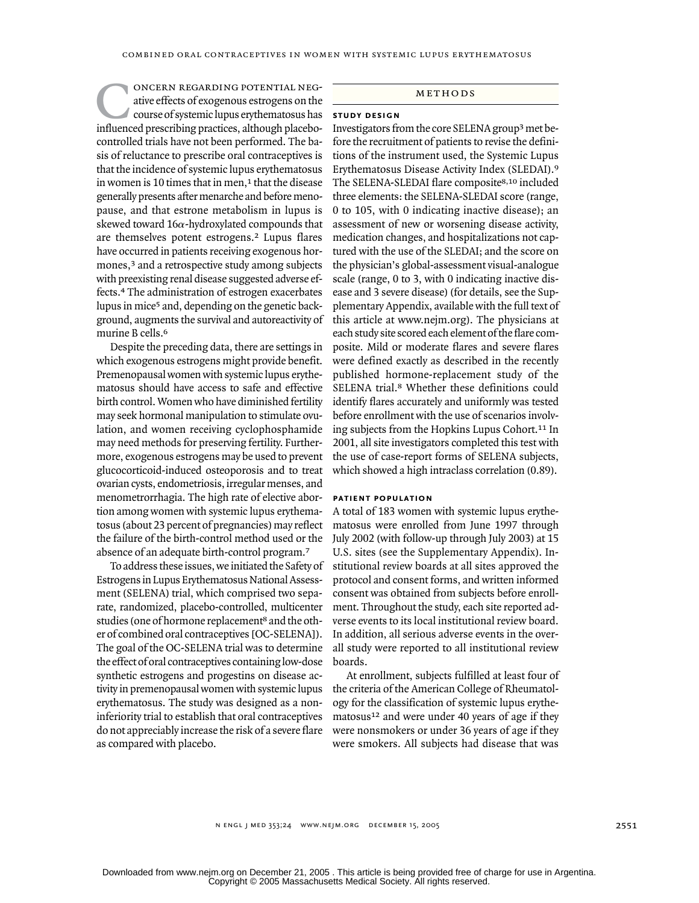oncern regarding potential negative effects of exogenous estrogens on the course of systemic lupus erythematosus has influenced prescribing practices, although placebocontrolled trials have not been performed. The basis of reluctance to prescribe oral contraceptives is that the incidence of systemic lupus erythematosus in women is 10 times that in men, $1$  that the disease generally presents after menarche and before menopause, and that estrone metabolism in lupus is skewed toward  $16\alpha$ -hydroxylated compounds that are themselves potent estrogens.2 Lupus flares have occurred in patients receiving exogenous hormones,<sup>3</sup> and a retrospective study among subjects with preexisting renal disease suggested adverse effects.4 The administration of estrogen exacerbates lupus in mice5 and, depending on the genetic background, augments the survival and autoreactivity of murine B cells.<sup>6</sup> COMBINED ORAL CONTRACEPTIVES IN WOMEN WITH SYSTEMIC LUPUS ERYT<br>
ONCERN REGARDING POTENTIAL NEG-<br>
ative effects of exogenous estrogens on the<br>
course of systemic lupus erythematosus has<br> **EXECUTE ON STREM** 

Despite the preceding data, there are settings in which exogenous estrogens might provide benefit. Premenopausal women with systemic lupus erythematosus should have access to safe and effective birth control. Women who have diminished fertility may seek hormonal manipulation to stimulate ovulation, and women receiving cyclophosphamide may need methods for preserving fertility. Furthermore, exogenous estrogens may be used to prevent glucocorticoid-induced osteoporosis and to treat ovarian cysts, endometriosis, irregular menses, and menometrorrhagia. The high rate of elective abortion among women with systemic lupus erythematosus (about 23 percent of pregnancies) may reflect the failure of the birth-control method used or the absence of an adequate birth-control program.<sup>7</sup>

To address these issues, we initiated the Safety of Estrogens in Lupus Erythematosus National Assessment (SELENA) trial, which comprised two separate, randomized, placebo-controlled, multicenter studies (one of hormone replacement<sup>8</sup> and the other of combined oral contraceptives [OC-SELENA]). The goal of the OC-SELENA trial was to determine the effect of oral contraceptives containing low-dose synthetic estrogens and progestins on disease activity in premenopausal women with systemic lupus erythematosus. The study was designed as a noninferiority trial to establish that oral contraceptives do not appreciably increase the risk of a severe flare as compared with placebo.

# **study design**

Investigators from the core SELENA group3 met before the recruitment of patients to revise the definitions of the instrument used, the Systemic Lupus Erythematosus Disease Activity Index (SLEDAI).<sup>9</sup> The SELENA-SLEDAI flare composite8,10 included three elements: the SELENA-SLEDAI score (range, 0 to 105, with 0 indicating inactive disease); an assessment of new or worsening disease activity, medication changes, and hospitalizations not captured with the use of the SLEDAI; and the score on the physician's global-assessment visual-analogue scale (range, 0 to 3, with 0 indicating inactive disease and 3 severe disease) (for details, see the Supplementary Appendix, available with the full text of this article at www.nejm.org). The physicians at each study site scored each element of the flare composite. Mild or moderate flares and severe flares were defined exactly as described in the recently published hormone-replacement study of the SELENA trial.8 Whether these definitions could identify flares accurately and uniformly was tested before enrollment with the use of scenarios involving subjects from the Hopkins Lupus Cohort.11 In 2001, all site investigators completed this test with the use of case-report forms of SELENA subjects, which showed a high intraclass correlation (0.89).

#### **patient population**

A total of 183 women with systemic lupus erythematosus were enrolled from June 1997 through July 2002 (with follow-up through July 2003) at 15 U.S. sites (see the Supplementary Appendix). Institutional review boards at all sites approved the protocol and consent forms, and written informed consent was obtained from subjects before enrollment. Throughout the study, each site reported adverse events to its local institutional review board. In addition, all serious adverse events in the overall study were reported to all institutional review boards.

At enrollment, subjects fulfilled at least four of the criteria of the American College of Rheumatology for the classification of systemic lupus erythematosus<sup>12</sup> and were under 40 years of age if they were nonsmokers or under 36 years of age if they were smokers. All subjects had disease that was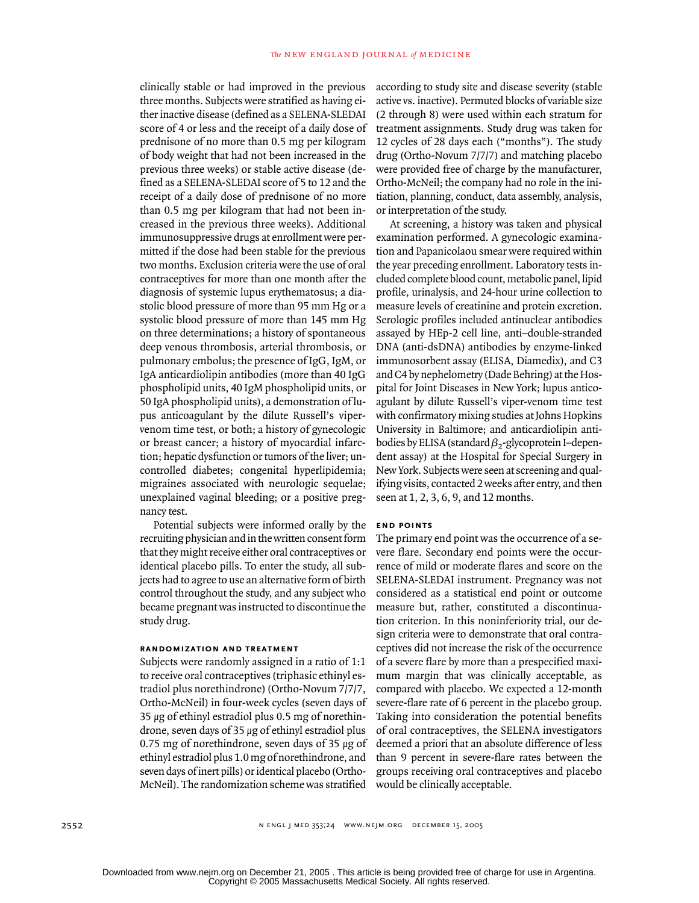clinically stable or had improved in the previous three months. Subjects were stratified as having either inactive disease (defined as a SELENA-SLEDAI score of 4 or less and the receipt of a daily dose of prednisone of no more than 0.5 mg per kilogram of body weight that had not been increased in the previous three weeks) or stable active disease (defined as a SELENA-SLEDAI score of 5 to 12 and the receipt of a daily dose of prednisone of no more than 0.5 mg per kilogram that had not been increased in the previous three weeks). Additional immunosuppressive drugs at enrollment were permitted if the dose had been stable for the previous two months. Exclusion criteria were the use of oral contraceptives for more than one month after the diagnosis of systemic lupus erythematosus; a diastolic blood pressure of more than 95 mm Hg or a systolic blood pressure of more than 145 mm Hg on three determinations; a history of spontaneous deep venous thrombosis, arterial thrombosis, or pulmonary embolus; the presence of IgG, IgM, or IgA anticardiolipin antibodies (more than 40 IgG phospholipid units, 40 IgM phospholipid units, or 50 IgA phospholipid units), a demonstration of lupus anticoagulant by the dilute Russell's vipervenom time test, or both; a history of gynecologic or breast cancer; a history of myocardial infarction; hepatic dysfunction or tumors of the liver; uncontrolled diabetes; congenital hyperlipidemia; migraines associated with neurologic sequelae; unexplained vaginal bleeding; or a positive pregnancy test.

Potential subjects were informed orally by the recruiting physician and in the written consent form that they might receive either oral contraceptives or identical placebo pills. To enter the study, all subjects had to agree to use an alternative form of birth control throughout the study, and any subject who became pregnant was instructed to discontinue the study drug.

#### **randomization and treatment**

Subjects were randomly assigned in a ratio of 1:1 to receive oral contraceptives (triphasic ethinyl estradiol plus norethindrone) (Ortho-Novum 7/7/7, Ortho-McNeil) in four-week cycles (seven days of 35 µg of ethinyl estradiol plus 0.5 mg of norethindrone, seven days of 35 µg of ethinyl estradiol plus 0.75 mg of norethindrone, seven days of 35 µg of ethinyl estradiol plus 1.0 mg of norethindrone, and seven days of inert pills) or identical placebo (Ortho-McNeil). The randomization scheme was stratified according to study site and disease severity (stable active vs. inactive). Permuted blocks of variable size (2 through 8) were used within each stratum for treatment assignments. Study drug was taken for 12 cycles of 28 days each ("months"). The study drug (Ortho-Novum 7/7/7) and matching placebo were provided free of charge by the manufacturer, Ortho-McNeil; the company had no role in the initiation, planning, conduct, data assembly, analysis, or interpretation of the study.

At screening, a history was taken and physical examination performed. A gynecologic examination and Papanicolaou smear were required within the year preceding enrollment. Laboratory tests included complete blood count, metabolic panel, lipid profile, urinalysis, and 24-hour urine collection to measure levels of creatinine and protein excretion. Serologic profiles included antinuclear antibodies assayed by HEp-2 cell line, anti–double-stranded DNA (anti-dsDNA) antibodies by enzyme-linked immunosorbent assay (ELISA, Diamedix), and C3 and C4 by nephelometry (Dade Behring) at the Hospital for Joint Diseases in New York; lupus anticoagulant by dilute Russell's viper-venom time test with confirmatory mixing studies at Johns Hopkins University in Baltimore; and anticardiolipin antibodies by ELISA (standard  $\beta_2$ -glycoprotein I–dependent assay) at the Hospital for Special Surgery in New York. Subjects were seen at screening and qualifying visits, contacted 2 weeks after entry, and then seen at 1, 2, 3, 6, 9, and 12 months.

# **end points**

The primary end point was the occurrence of a severe flare. Secondary end points were the occurrence of mild or moderate flares and score on the SELENA-SLEDAI instrument. Pregnancy was not considered as a statistical end point or outcome measure but, rather, constituted a discontinuation criterion. In this noninferiority trial, our design criteria were to demonstrate that oral contraceptives did not increase the risk of the occurrence of a severe flare by more than a prespecified maximum margin that was clinically acceptable, as compared with placebo. We expected a 12-month severe-flare rate of 6 percent in the placebo group. Taking into consideration the potential benefits of oral contraceptives, the SELENA investigators deemed a priori that an absolute difference of less than 9 percent in severe-flare rates between the groups receiving oral contraceptives and placebo would be clinically acceptable.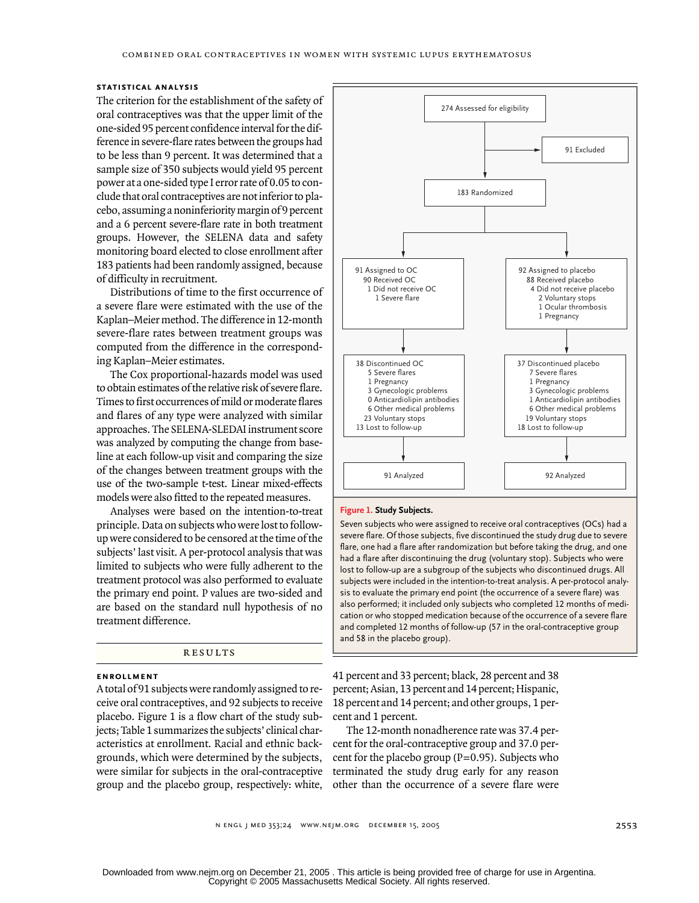# **statistical analysis**

The criterion for the establishment of the safety of oral contraceptives was that the upper limit of the one-sided 95 percent confidence interval for the difference in severe-flare rates between the groups had to be less than 9 percent. It was determined that a sample size of 350 subjects would yield 95 percent power at a one-sided type I error rate of 0.05 to conclude that oral contraceptives are not inferior to placebo, assuming a noninferiority margin of 9 percent and a 6 percent severe-flare rate in both treatment groups. However, the SELENA data and safety monitoring board elected to close enrollment after 183 patients had been randomly assigned, because of difficulty in recruitment.

Distributions of time to the first occurrence of a severe flare were estimated with the use of the Kaplan–Meier method. The difference in 12-month severe-flare rates between treatment groups was computed from the difference in the corresponding Kaplan–Meier estimates.

The Cox proportional-hazards model was used to obtain estimates of the relative risk of severe flare. Times to first occurrences of mild or moderate flares and flares of any type were analyzed with similar approaches. The SELENA-SLEDAI instrument score was analyzed by computing the change from baseline at each follow-up visit and comparing the size of the changes between treatment groups with the use of the two-sample t-test. Linear mixed-effects models were also fitted to the repeated measures.

Analyses were based on the intention-to-treat principle. Data on subjects who were lost to followup were considered to be censored at the time of the subjects' last visit. A per-protocol analysis that was limited to subjects who were fully adherent to the treatment protocol was also performed to evaluate the primary end point. P values are two-sided and are based on the standard null hypothesis of no treatment difference.

#### results

# **enrollment**

A total of 91 subjects were randomly assigned to receive oral contraceptives, and 92 subjects to receive placebo. Figure 1 is a flow chart of the study subjects; Table 1 summarizes the subjects' clinical characteristics at enrollment. Racial and ethnic backgrounds, which were determined by the subjects, were similar for subjects in the oral-contraceptive group and the placebo group, respectively: white,



#### **Figure 1. Study Subjects.**

Seven subjects who were assigned to receive oral contraceptives (OCs) had a severe flare. Of those subjects, five discontinued the study drug due to severe flare, one had a flare after randomization but before taking the drug, and one had a flare after discontinuing the drug (voluntary stop). Subjects who were lost to follow-up are a subgroup of the subjects who discontinued drugs. All subjects were included in the intention-to-treat analysis. A per-protocol analysis to evaluate the primary end point (the occurrence of a severe flare) was also performed; it included only subjects who completed 12 months of medication or who stopped medication because of the occurrence of a severe flare and completed 12 months of follow-up (57 in the oral-contraceptive group and 58 in the placebo group).

41 percent and 33 percent; black, 28 percent and 38 percent; Asian, 13 percent and 14 percent; Hispanic, 18 percent and 14 percent; and other groups, 1 percent and 1 percent.

The 12-month nonadherence rate was 37.4 percent for the oral-contraceptive group and 37.0 percent for the placebo group  $(P=0.95)$ . Subjects who terminated the study drug early for any reason other than the occurrence of a severe flare were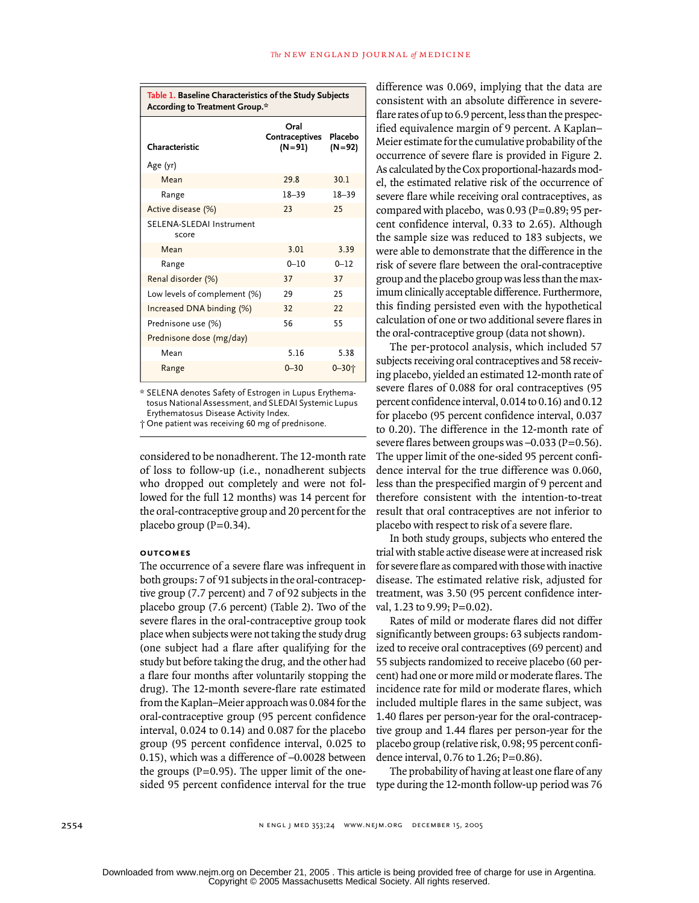| Table 1. Baseline Characteristics of the Study Subjects<br>According to Treatment Group.* |                                      |                     |  |
|-------------------------------------------------------------------------------------------|--------------------------------------|---------------------|--|
| Characteristic                                                                            | Oral<br>Contraceptives<br>$(N = 91)$ | Placebo<br>$(N=92)$ |  |
| Age (yr)                                                                                  |                                      |                     |  |
| Mean                                                                                      | 29.8                                 | 30.1                |  |
| Range                                                                                     | $18 - 39$                            | $18 - 39$           |  |
| Active disease (%)                                                                        | 23                                   | 25                  |  |
| SELENA-SLEDAI Instrument<br>score                                                         |                                      |                     |  |
| Mean                                                                                      | 3.01                                 | 3.39                |  |
| Range                                                                                     | $0 - 10$                             | $0 - 12$            |  |
| Renal disorder (%)                                                                        | 37                                   | 37                  |  |
| Low levels of complement (%)                                                              | 29                                   | 25                  |  |
| Increased DNA binding (%)                                                                 | 32                                   | 22                  |  |
| Prednisone use (%)                                                                        | 56                                   | 55                  |  |
| Prednisone dose (mg/day)                                                                  |                                      |                     |  |
| Mean                                                                                      | 5.16                                 | 5.38                |  |
| Range                                                                                     | $0 - 30$                             | $0 - 30 +$          |  |

\* SELENA denotes Safety of Estrogen in Lupus Erythematosus National Assessment, and SLEDAI Systemic Lupus Erythematosus Disease Activity Index.

† One patient was receiving 60 mg of prednisone.

considered to be nonadherent. The 12-month rate of loss to follow-up (i.e., nonadherent subjects who dropped out completely and were not followed for the full 12 months) was 14 percent for the oral-contraceptive group and 20 percent for the placebo group  $(P=0.34)$ .

# **outcomes**

The occurrence of a severe flare was infrequent in both groups: 7 of 91 subjects in the oral-contraceptive group (7.7 percent) and 7 of 92 subjects in the placebo group (7.6 percent) (Table 2). Two of the severe flares in the oral-contraceptive group took place when subjects were not taking the study drug (one subject had a flare after qualifying for the study but before taking the drug, and the other had a flare four months after voluntarily stopping the drug). The 12-month severe-flare rate estimated from the Kaplan–Meier approach was 0.084 for the oral-contraceptive group (95 percent confidence interval, 0.024 to 0.14) and 0.087 for the placebo group (95 percent confidence interval, 0.025 to 0.15), which was a difference of –0.0028 between the groups  $(P=0.95)$ . The upper limit of the one-

difference was 0.069, implying that the data are consistent with an absolute difference in severeflare rates of up to 6.9 percent, less than the prespecified equivalence margin of 9 percent. A Kaplan– Meier estimate for the cumulative probability of the occurrence of severe flare is provided in Figure 2. As calculated by the Cox proportional-hazards model, the estimated relative risk of the occurrence of severe flare while receiving oral contraceptives, as compared with placebo, was  $0.93$  (P=0.89; 95 percent confidence interval, 0.33 to 2.65). Although the sample size was reduced to 183 subjects, we were able to demonstrate that the difference in the risk of severe flare between the oral-contraceptive group and the placebo group was less than the maximum clinically acceptable difference. Furthermore, this finding persisted even with the hypothetical calculation of one or two additional severe flares in the oral-contraceptive group (data not shown).

The per-protocol analysis, which included 57 subjects receiving oral contraceptives and 58 receiving placebo, yielded an estimated 12-month rate of severe flares of 0.088 for oral contraceptives (95 percent confidence interval, 0.014 to 0.16) and 0.12 for placebo (95 percent confidence interval, 0.037 to 0.20). The difference in the 12-month rate of severe flares between groups was  $-0.033$  (P=0.56). The upper limit of the one-sided 95 percent confidence interval for the true difference was 0.060, less than the prespecified margin of 9 percent and therefore consistent with the intention-to-treat result that oral contraceptives are not inferior to placebo with respect to risk of a severe flare.

In both study groups, subjects who entered the trial with stable active disease were at increased risk for severe flare as compared with those with inactive disease. The estimated relative risk, adjusted for treatment, was 3.50 (95 percent confidence interval, 1.23 to 9.99; P=0.02).

Rates of mild or moderate flares did not differ significantly between groups: 63 subjects randomized to receive oral contraceptives (69 percent) and 55 subjects randomized to receive placebo (60 percent) had one or more mild or moderate flares. The incidence rate for mild or moderate flares, which included multiple flares in the same subject, was 1.40 flares per person-year for the oral-contraceptive group and 1.44 flares per person-year for the placebo group (relative risk, 0.98; 95 percent confidence interval, 0.76 to 1.26; P=0.86).

sided 95 percent confidence interval for the true type during the 12-month follow-up period was 76 The probability of having at least one flare of any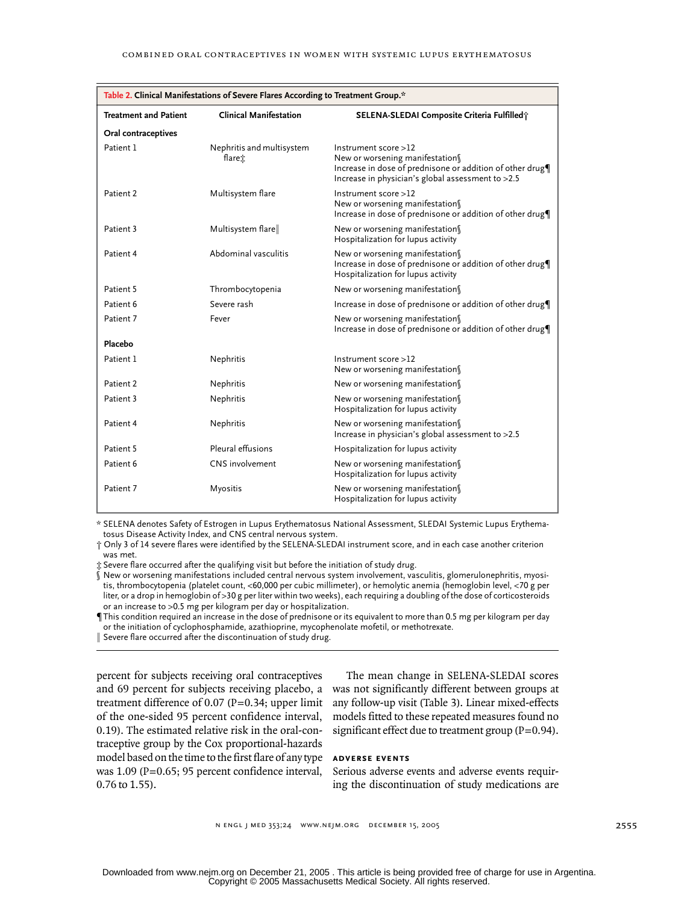| Table 2. Clinical Manifestations of Severe Flares According to Treatment Group.* |                                              |                                                                                                                                                                          |  |  |
|----------------------------------------------------------------------------------|----------------------------------------------|--------------------------------------------------------------------------------------------------------------------------------------------------------------------------|--|--|
| <b>Treatment and Patient</b>                                                     | <b>Clinical Manifestation</b>                | SELENA-SLEDAI Composite Criteria Fulfilled;                                                                                                                              |  |  |
| Oral contraceptives                                                              |                                              |                                                                                                                                                                          |  |  |
| Patient 1                                                                        | Nephritis and multisystem<br>flare $\dot{x}$ | Instrument score >12<br>New or worsening manifestation<br>Increase in dose of prednisone or addition of other drug¶<br>Increase in physician's global assessment to >2.5 |  |  |
| Patient 2                                                                        | Multisystem flare                            | Instrument score >12<br>New or worsening manifestation<br>Increase in dose of prednisone or addition of other drug                                                       |  |  |
| Patient 3                                                                        | Multisystem flare                            | New or worsening manifestation<br>Hospitalization for lupus activity                                                                                                     |  |  |
| Patient 4                                                                        | Abdominal vasculitis                         | New or worsening manifestation<br>Increase in dose of prednisone or addition of other drug<br>Hospitalization for lupus activity                                         |  |  |
| Patient 5                                                                        | Thrombocytopenia                             | New or worsening manifestation                                                                                                                                           |  |  |
| Patient 6                                                                        | Severe rash                                  | Increase in dose of prednisone or addition of other drug                                                                                                                 |  |  |
| Patient 7                                                                        | Fever                                        | New or worsening manifestation<br>Increase in dose of prednisone or addition of other drug                                                                               |  |  |
| Placebo                                                                          |                                              |                                                                                                                                                                          |  |  |
| Patient 1                                                                        | Nephritis                                    | Instrument score >12<br>New or worsening manifestation                                                                                                                   |  |  |
| Patient 2                                                                        | Nephritis                                    | New or worsening manifestation                                                                                                                                           |  |  |
| Patient 3                                                                        | Nephritis                                    | New or worsening manifestation<br>Hospitalization for lupus activity                                                                                                     |  |  |
| Patient 4                                                                        | Nephritis                                    | New or worsening manifestation<br>Increase in physician's global assessment to >2.5                                                                                      |  |  |
| Patient 5                                                                        | Pleural effusions                            | Hospitalization for lupus activity                                                                                                                                       |  |  |
| Patient 6                                                                        | CNS involvement                              | New or worsening manifestation<br>Hospitalization for lupus activity                                                                                                     |  |  |
| Patient 7                                                                        | <b>Myositis</b>                              | New or worsening manifestation<br>Hospitalization for lupus activity                                                                                                     |  |  |

\* SELENA denotes Safety of Estrogen in Lupus Erythematosus National Assessment, SLEDAI Systemic Lupus Erythematosus Disease Activity Index, and CNS central nervous system.

† Only 3 of 14 severe flares were identified by the SELENA-SLEDAI instrument score, and in each case another criterion was met.

‡ Severe flare occurred after the qualifying visit but before the initiation of study drug.

§ New or worsening manifestations included central nervous system involvement, vasculitis, glomerulonephritis, myositis, thrombocytopenia (platelet count, <60,000 per cubic millimeter), or hemolytic anemia (hemoglobin level, <70 g per liter, or a drop in hemoglobin of >30 g per liter within two weeks), each requiring a doubling of the dose of corticosteroids or an increase to >0.5 mg per kilogram per day or hospitalization.

¶This condition required an increase in the dose of prednisone or its equivalent to more than 0.5 mg per kilogram per day or the initiation of cyclophosphamide, azathioprine, mycophenolate mofetil, or methotrexate.

Severe flare occurred after the discontinuation of study drug.

percent for subjects receiving oral contraceptives and 69 percent for subjects receiving placebo, a treatment difference of 0.07 (P=0.34; upper limit of the one-sided 95 percent confidence interval, 0.19). The estimated relative risk in the oral-contraceptive group by the Cox proportional-hazards model based on the time to the first flare of any type was 1.09 (P=0.65; 95 percent confidence interval, 0.76 to 1.55).

The mean change in SELENA-SLEDAI scores was not significantly different between groups at any follow-up visit (Table 3). Linear mixed-effects models fitted to these repeated measures found no significant effect due to treatment group  $(P=0.94)$ .

# **adverse events**

Serious adverse events and adverse events requiring the discontinuation of study medications are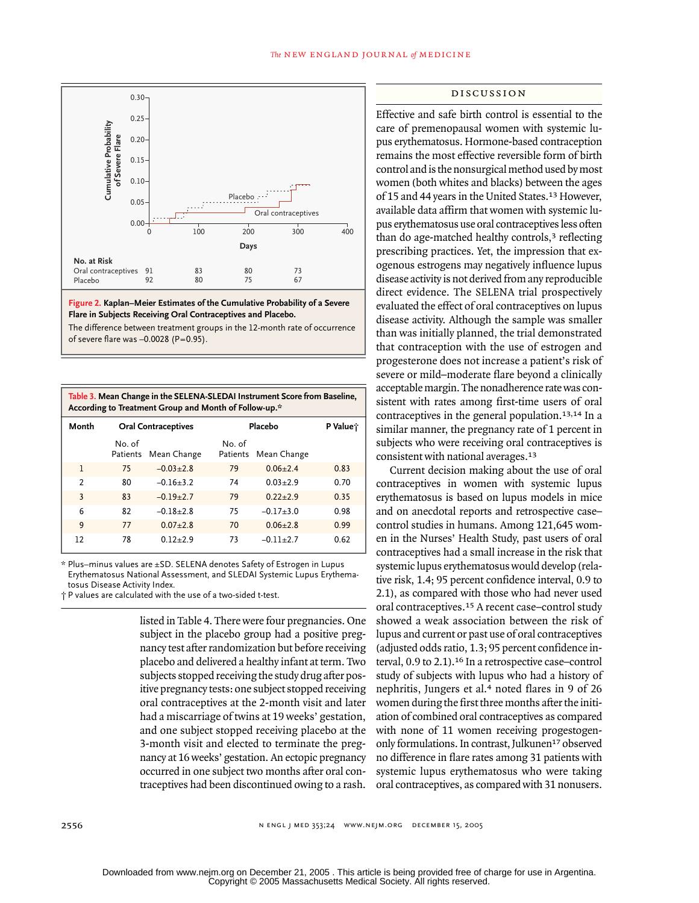

**Figure 2. Kaplan–Meier Estimates of the Cumulative Probability of a Severe Flare in Subjects Receiving Oral Contraceptives and Placebo.**

The difference between treatment groups in the 12-month rate of occurrence of severe flare was –0.0028 (P=0.95).

| Table 3. Mean Change in the SELENA-SLEDAI Instrument Score from Baseline, |
|---------------------------------------------------------------------------|
| According to Treatment Group and Month of Follow-up.*                     |

| Month |                    | <b>Oral Contraceptives</b> |        | Placebo              | P Value; |
|-------|--------------------|----------------------------|--------|----------------------|----------|
|       | No. of<br>Patients | Mean Change                | No. of | Patients Mean Change |          |
| 1     | 75                 | $-0.03 + 2.8$              | 79     | $0.06 + 2.4$         | 0.83     |
| 2     | 80                 | $-0.16+3.2$                | 74     | $0.03 + 2.9$         | 0.70     |
| 3     | 83                 | $-0.19+2.7$                | 79     | $0.22 + 2.9$         | 0.35     |
| 6     | 82                 | $-0.18 + 2.8$              | 75     | $-0.17+3.0$          | 0.98     |
| 9     | 77                 | $0.07 + 2.8$               | 70     | $0.06 + 2.8$         | 0.99     |
| 12    | 78                 | $0.12 + 2.9$               | 73     | $-0.11+2.7$          | 0.62     |

\* Plus–minus values are ±SD. SELENA denotes Safety of Estrogen in Lupus Erythematosus National Assessment, and SLEDAI Systemic Lupus Erythematosus Disease Activity Index.

† P values are calculated with the use of a two-sided t-test.

listed in Table 4. There were four pregnancies. One subject in the placebo group had a positive pregnancy test after randomization but before receiving placebo and delivered a healthy infant at term. Two subjects stopped receiving the study drug after positive pregnancy tests: one subject stopped receiving oral contraceptives at the 2-month visit and later had a miscarriage of twins at 19 weeks' gestation, and one subject stopped receiving placebo at the 3-month visit and elected to terminate the pregnancy at 16 weeks' gestation. An ectopic pregnancy occurred in one subject two months after oral contraceptives had been discontinued owing to a rash.

## discussion

Effective and safe birth control is essential to the care of premenopausal women with systemic lupus erythematosus. Hormone-based contraception remains the most effective reversible form of birth control and is the nonsurgical method used by most women (both whites and blacks) between the ages of 15 and 44 years in the United States.13 However, available data affirm that women with systemic lupus erythematosus use oral contraceptives less often than do age-matched healthy controls,<sup>3</sup> reflecting prescribing practices. Yet, the impression that exogenous estrogens may negatively influence lupus disease activity is not derived from any reproducible direct evidence. The SELENA trial prospectively evaluated the effect of oral contraceptives on lupus disease activity. Although the sample was smaller than was initially planned, the trial demonstrated that contraception with the use of estrogen and progesterone does not increase a patient's risk of severe or mild–moderate flare beyond a clinically acceptable margin. The nonadherence rate was consistent with rates among first-time users of oral contraceptives in the general population.13,14 In a similar manner, the pregnancy rate of 1 percent in subjects who were receiving oral contraceptives is consistent with national averages.<sup>13</sup>

Current decision making about the use of oral contraceptives in women with systemic lupus erythematosus is based on lupus models in mice and on anecdotal reports and retrospective case– control studies in humans. Among 121,645 women in the Nurses' Health Study, past users of oral contraceptives had a small increase in the risk that systemic lupus erythematosus would develop (relative risk, 1.4; 95 percent confidence interval, 0.9 to 2.1), as compared with those who had never used oral contraceptives.15 A recent case–control study showed a weak association between the risk of lupus and current or past use of oral contraceptives (adjusted odds ratio, 1.3; 95 percent confidence interval, 0.9 to 2.1).16 In a retrospective case–control study of subjects with lupus who had a history of nephritis, Jungers et al.4 noted flares in 9 of 26 women during the first three months after the initiation of combined oral contraceptives as compared with none of 11 women receiving progestogenonly formulations. In contrast, Julkunen<sup>17</sup> observed no difference in flare rates among 31 patients with systemic lupus erythematosus who were taking oral contraceptives, as compared with 31 nonusers.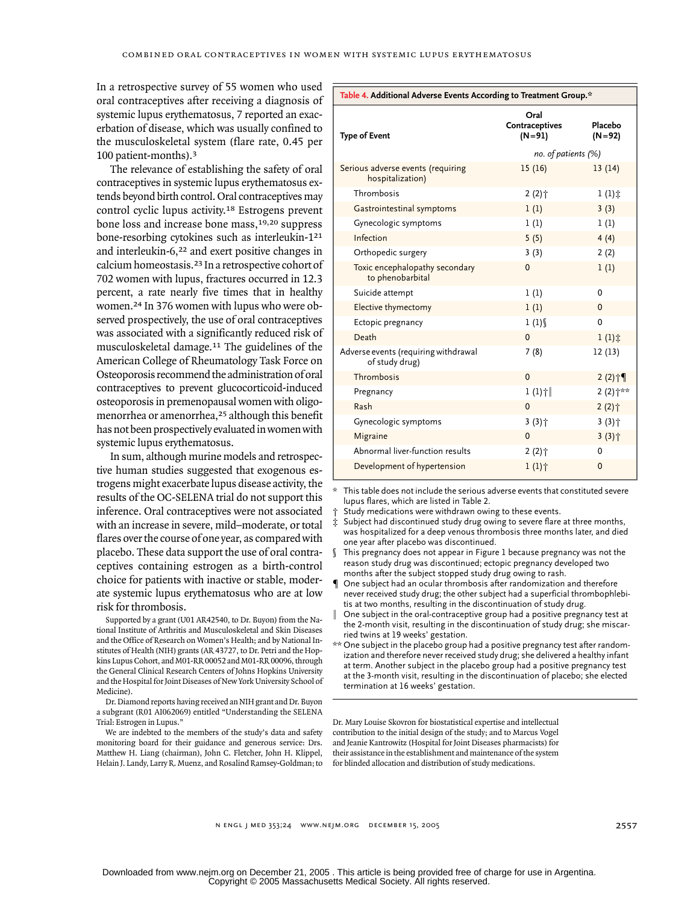# In a retrospective survey of 55 women who used oral contraceptives after receiving a diagnosis of systemic lupus erythematosus, 7 reported an exacerbation of disease, which was usually confined to the musculoskeletal system (flare rate, 0.45 per 100 patient-months).<sup>3</sup>

The relevance of establishing the safety of oral contraceptives in systemic lupus erythematosus extends beyond birth control. Oral contraceptives may control cyclic lupus activity.18 Estrogens prevent bone loss and increase bone mass,19,20 suppress bone-resorbing cytokines such as interleukin-1<sup>21</sup> and interleukin-6,22 and exert positive changes in calcium homeostasis.23 In a retrospective cohort of 702 women with lupus, fractures occurred in 12.3 percent, a rate nearly five times that in healthy women.24 In 376 women with lupus who were observed prospectively, the use of oral contraceptives was associated with a significantly reduced risk of musculoskeletal damage.11 The guidelines of the American College of Rheumatology Task Force on Osteoporosis recommend the administration of oral contraceptives to prevent glucocorticoid-induced osteoporosis in premenopausal women with oligomenorrhea or amenorrhea,<sup>25</sup> although this benefit has not been prospectively evaluated in women with systemic lupus erythematosus.

In sum, although murine models and retrospective human studies suggested that exogenous estrogens might exacerbate lupus disease activity, the results of the OC-SELENA trial do not support this inference. Oral contraceptives were not associated with an increase in severe, mild–moderate, or total flares over the course of one year, as compared with placebo. These data support the use of oral contraceptives containing estrogen as a birth-control choice for patients with inactive or stable, moderate systemic lupus erythematosus who are at low risk for thrombosis.

Supported by a grant (U01 AR42540, to Dr. Buyon) from the National Institute of Arthritis and Musculoskeletal and Skin Diseases and the Office of Research on Women's Health; and by National Institutes of Health (NIH) grants (AR 43727, to Dr. Petri and the Hopkins Lupus Cohort, and M01-RR 00052 and M01-RR 00096, through the General Clinical Research Centers of Johns Hopkins University and the Hospital for Joint Diseases of New York University School of Medicine).

Dr. Diamond reports having received an NIH grant and Dr. Buyon a subgrant (R01 AI062069) entitled "Understanding the SELENA Trial: Estrogen in Lupus."

We are indebted to the members of the study's data and safety monitoring board for their guidance and generous service: Drs. Matthew H. Liang (chairman), John C. Fletcher, John H. Klippel, Helain J. Landy, Larry R. Muenz, and Rosalind Ramsey-Goldman; to

| Table 4. Additional Adverse Events According to Treatment Group.* |                                      |                      |  |
|-------------------------------------------------------------------|--------------------------------------|----------------------|--|
| <b>Type of Event</b>                                              | Oral<br>Contraceptives<br>$(N = 91)$ | Placebo<br>$(N=92)$  |  |
|                                                                   | no. of patients (%)                  |                      |  |
| Serious adverse events (requiring<br>hospitalization)             | 15(16)                               | 13(14)               |  |
| Thrombosis                                                        | 2 (2) †                              | $1(1)$ $\ddot{x}$    |  |
| Gastrointestinal symptoms                                         | 1(1)                                 | 3(3)                 |  |
| Gynecologic symptoms                                              | 1(1)                                 | 1(1)                 |  |
| Infection                                                         | 5(5)                                 | 4(4)                 |  |
| Orthopedic surgery                                                | 3(3)                                 | 2(2)                 |  |
| Toxic encephalopathy secondary<br>to phenobarbital                | 0                                    | 1(1)                 |  |
| Suicide attempt                                                   | 1(1)                                 | 0                    |  |
| Elective thymectomy                                               | 1(1)                                 | 0                    |  |
| Ectopic pregnancy                                                 | 1(1)                                 | 0                    |  |
| Death                                                             | 0                                    | $1(1)$ $\ddot{x}$    |  |
| Adverse events (requiring withdrawal<br>of study drug)            | 7(8)                                 | 12(13)               |  |
| Thrombosis                                                        | $\mathbf 0$                          | $2(2)$ <sup>+</sup>  |  |
| Pregnancy                                                         | $1(1)$ <sup>+</sup>                  | $2(2)$ <sup>**</sup> |  |
| Rash                                                              | $\mathbf 0$                          | $2(2)$ <sup>+</sup>  |  |
| Gynecologic symptoms                                              | $3(3)$ <sup>+</sup>                  | $3(3)$ <sup>+</sup>  |  |
| Migraine                                                          | $\Omega$                             | $3(3)$ <sup>+</sup>  |  |
| Abnormal liver-function results                                   | 2 (2)†                               | 0                    |  |
| Development of hypertension                                       | $1(1)$ <sup>+</sup>                  | $\mathbf 0$          |  |

This table does not include the serious adverse events that constituted severe lupus flares, which are listed in Table 2.

Study medications were withdrawn owing to these events.

Subject had discontinued study drug owing to severe flare at three months, was hospitalized for a deep venous thrombosis three months later, and died one year after placebo was discontinued.

This pregnancy does not appear in Figure 1 because pregnancy was not the reason study drug was discontinued; ectopic pregnancy developed two months after the subject stopped study drug owing to rash.

One subject had an ocular thrombosis after randomization and therefore never received study drug; the other subject had a superficial thrombophlebitis at two months, resulting in the discontinuation of study drug.

One subject in the oral-contraceptive group had a positive pregnancy test at the 2-month visit, resulting in the discontinuation of study drug; she miscarried twins at 19 weeks' gestation.

\*\* One subject in the placebo group had a positive pregnancy test after randomization and therefore never received study drug; she delivered a healthy infant at term. Another subject in the placebo group had a positive pregnancy test at the 3-month visit, resulting in the discontinuation of placebo; she elected termination at 16 weeks' gestation.

Dr. Mary Louise Skovron for biostatistical expertise and intellectual contribution to the initial design of the study; and to Marcus Vogel and Jeanie Kantrowitz (Hospital for Joint Diseases pharmacists) for their assistance in the establishment and maintenance of the system for blinded allocation and distribution of study medications.

2557